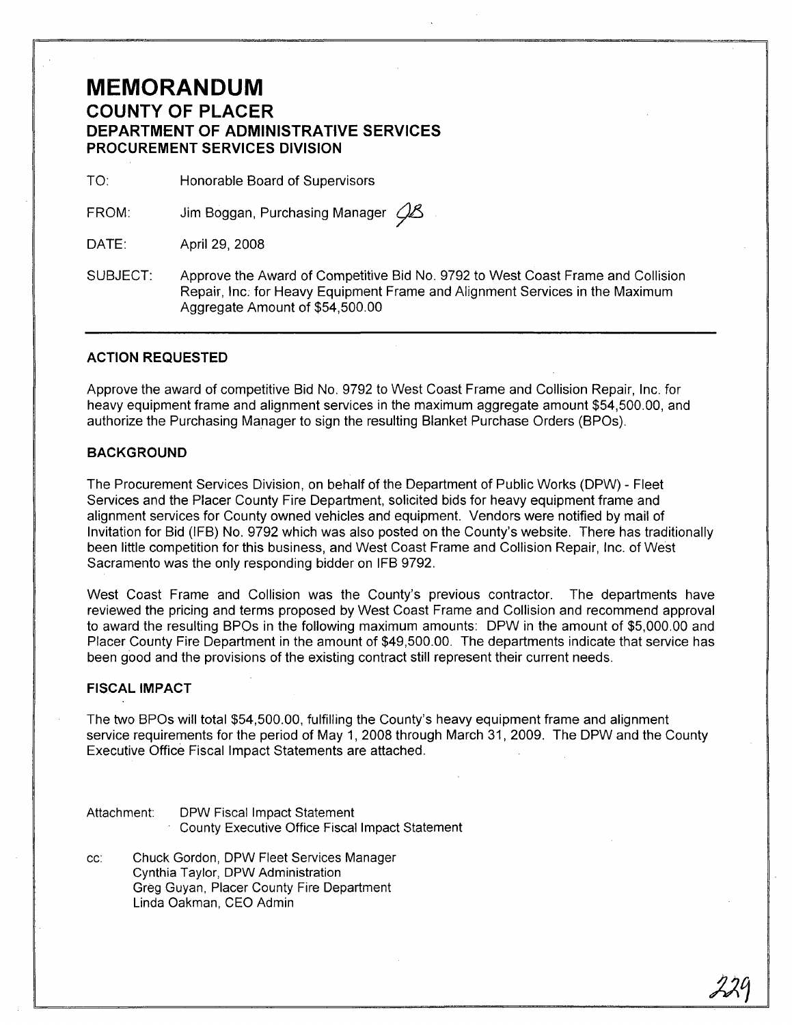### **MEMORANDUM COUNTY OF PLACER DEPARTMENT OF ADMINISTRATIVE SERVICES PROCUREMENT SERVICES DIVISION**

TO: Honorable Board of Supervisors

FROM: Jim Boggan, Purchasing Manager  $\mathcal{C}\!\mathcal{L}$ 

DATE: April 29, 2008

SUBJECT: Approve the Award of Competitive Bid No. 9792 to West Coast Frame and Collision Repair, Inc; for Heavy Equipment Frame and Alignment Services in the Maximum Aggregate Amount of \$54,500.00

#### **ACTION REQUESTED**

Approve the award of competitive Bid No. 9792 to West Coast Frame and Collision Repair, Inc. for heavy equipment frame and alignment services in the maximum aggregate amount \$54,500.00, and authorize the Purchasing Manager to sign the resulting Blanket Purchase Orders (BPOs).

### **BACKGROUND**

The Procurement Services Division, on behalf of the Department of Public Works (DPW) - Fleet Services and the Placer County Fire Department, solicited bids for heavy equipment frame and alignment services for County owned vehicles and equipment. Vendors were notified by mail of Invitation for Bid (IFB) No. 9792 which was also posted on the County's website. There has traditionally been little competition for this business, and West Coast Frame and Collision Repair, Inc. of West Sacramento was the only responding bidder on IFB 9792.

West Coast Frame and Collision was the County's previous contractor. The departments have reviewed the pricing and terms proposed by West Coast Frame and Collision and recommend approval to award the resulting BPOs in the following maximum amounts: DPW in the amount of \$5,000.00 and Placer County Fire Department in the amount of \$49,500.00. The departments indicate that service has been good and the provisions of the existing contract still represent their current needs.

### **FISCAL IMPACT**

The two BPOs will total \$54,500.00, fulfilling the County's heavy equipment frame and alignment service requirements for the period of May 1, 2008 through March 31, 2009. The DPW and the County Executive Office Fiscal Impact Statements are attached.

Attachment: DPW Fiscal Impact Statement County Executive Office Fiscal Impact Statement

cc: Chuck Gordon, DPW Fleet Services Manager Cynthia Taylor, DPW Administration Greg Guyan, Placer County Fire Department Linda Oakman, CEO Admin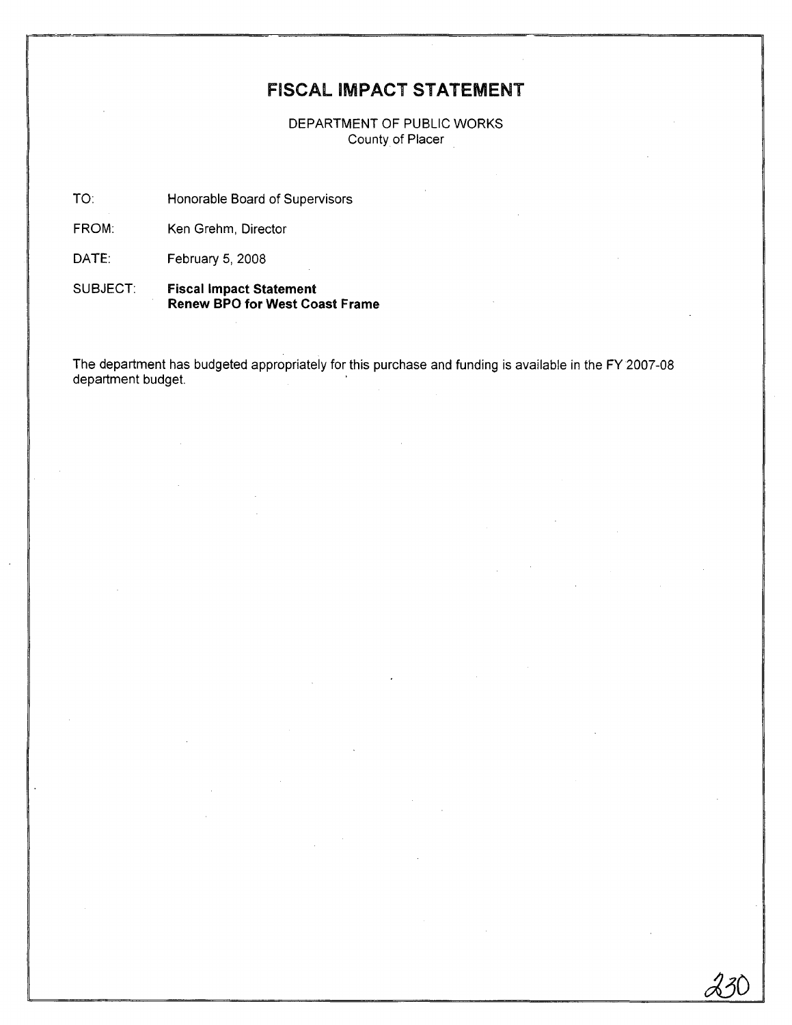## FISCAL IMPACT **STATEMENT**

DEPARTMENT OF PUBLIC WORKS County of Placer

TO: Honorable Board of Supervisors

FROM: Ken Grehm, Director

DATE: February 5, 2008

SUBJECT: **Fiscal Impact Statement Renew BPO for West Coast Frame**

The department has budgeted appropriately for this purchase and funding is available in the FY 2007-08 department budget.